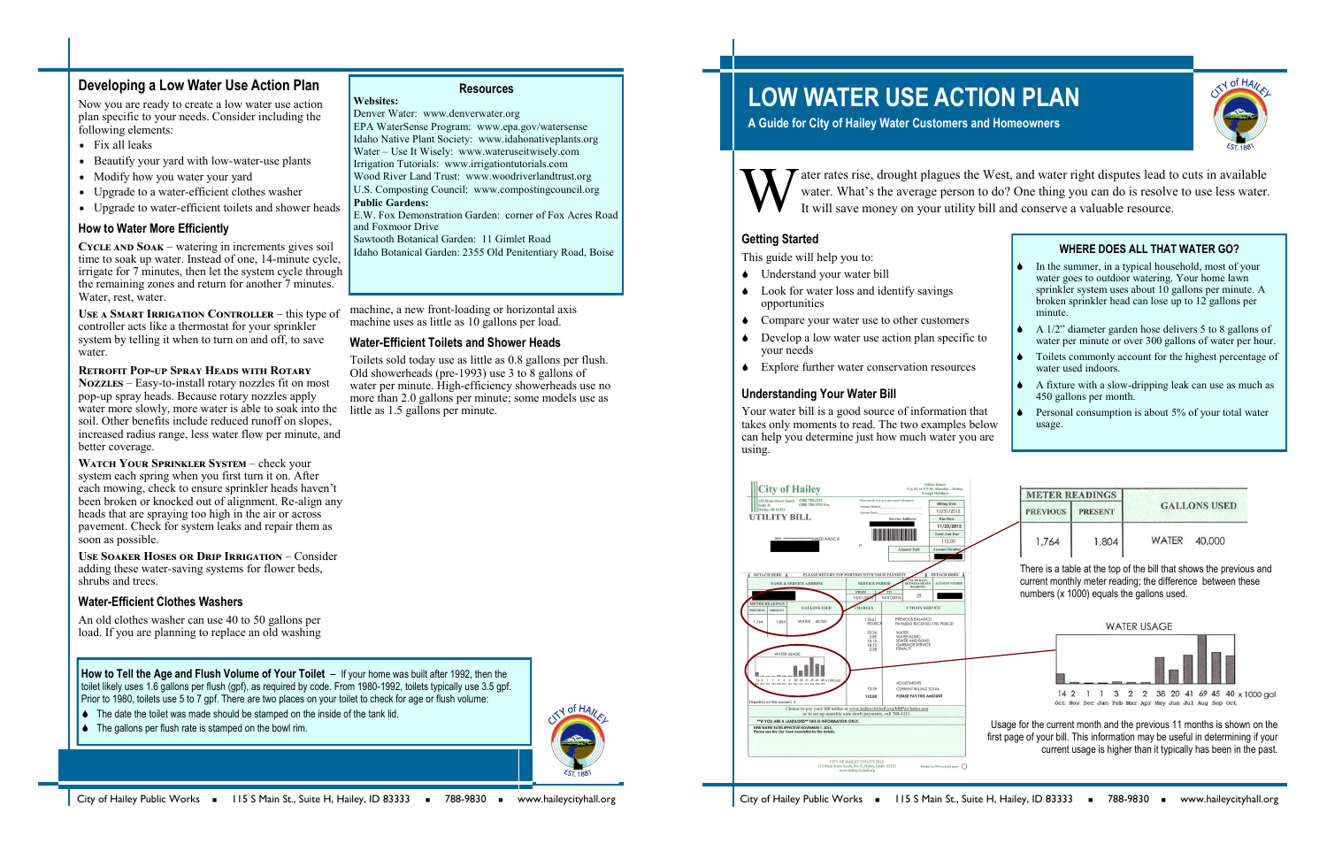# **LOW WATER USE ACTION PLAN**

**A Guide for City of Hailey Water Customers and Homeowners**



ater rates rise, drought plagues the West, and water right disputes lead to cuts in available water. What's the average person to do? One thing you can do is resolve to use less water. It will save money on your utility bill and conserve a valuable resource.

#### **Getting Started**

This guide will help you to:

- Understand your water bill
- Look for water loss and identify savings opportunities
- Compare your water use to other customers
- Develop a low water use action plan specific to your needs
- Explore further water conservation resources

#### **Understanding Your Water Bill**

Your water bill is a good source of information that takes only moments to read. The two examples below can help you determine just how much water you are using.



USE A **SMART IRRIGATION CONTROLLER** – this type of controller acts like a thermostat for your sprinkler system by telling it when to turn on and off, to save water.

| In the summer, in a typical household, most of your<br>water goes to outdoor watering. Your home lawn<br>sprinkler system uses about 10 gallons per minute. A<br>broken sprinkler head can lose up to 12 gallons per<br>minute. |
|---------------------------------------------------------------------------------------------------------------------------------------------------------------------------------------------------------------------------------|
| A 1/2" diameter garden hose delivers 5 to 8 gallons of<br>water per minute or over 300 gallons of water per hour.                                                                                                               |
| Toilets commonly account for the highest percentage of<br>water used indoors.                                                                                                                                                   |
| A fixture with a slow-dripping leak can use as much as<br>450 gallons per month.                                                                                                                                                |
| Personal consumption is about 5% of your total water<br>usage.                                                                                                                                                                  |

| <b>METER READINGS</b> |                |                     |  |
|-----------------------|----------------|---------------------|--|
| <b>PREVIOUS</b>       | <b>PRESENT</b> | <b>GALLONS USED</b> |  |
| 1,764                 | 1,804          | WATER 40,000        |  |

**WATCH YOUR SPRINKLER SYSTEM – check your** system each spring when you first turn it on. After each mowing, check to ensure sprinkler heads haven't been broken or knocked out of alignment. Re-align any heads that are spraying too high in the air or across pavement. Check for system leaks and repair them as soon as possible.

## **Developing a Low Water Use Action Plan**

Now you are ready to create a low water use action plan specific to your needs. Consider including the following elements:

- Fix all leaks
- Beautify your yard with low-water-use plants
- Modify how you water your yard
- Upgrade to a water-efficient clothes washer
- Upgrade to water-efficient toilets and shower heads

#### **How to Water More Efficiently**

#### **Retrofit Pop-up Spray Heads with Rotary**

**Nozzles** – Easy-to-install rotary nozzles fit on most pop-up spray heads. Because rotary nozzles apply water more slowly, more water is able to soak into the soil. Other benefits include reduced runoff on slopes, increased radius range, less water flow per minute, and better coverage.

**Cycle and Soak** – watering in increments gives soil time to soak up water. Instead of one, 14-minute cycle, irrigate for 7 minutes, then let the system cycle through the remaining zones and return for another 7 minutes. Water, rest, water. machine, a new front-loading or horizontal axis

**Use Soaker Hoses or Drip Irrigation** – Consider adding these water-saving systems for flower beds, shrubs and trees.

#### **Water-Efficient Clothes Washers**

An old clothes washer can use 40 to 50 gallons per load. If you are planning to replace an old washing machine uses as little as 10 gallons per load. **Water-Efficient Toilets and Shower Heads**

Toilets sold today use as little as 0.8 gallons per flush. Old showerheads (pre-1993) use 3 to 8 gallons of water per minute. High-efficiency showerheads use no more than 2.0 gallons per minute; some models use as

little as 1.5 gallons per minute.

**How to Tell the Age and Flush Volume of Your Toilet** – If your home was built after 1992, then the toilet likely uses 1.6 gallons per flush (gpf), as required by code. From 1980-1992, toilets typically use 3.5 gpf. Prior to 1980, toilets use 5 to 7 gpf. There are two places on your toilet to check for age or flush volume:

- $\bullet$  The date the toilet was made should be stamped on the inside of the tank lid.
- $\bullet$  The gallons per flush rate is stamped on the bowl rim.



**Resources**

**Websites:**

Denver Water: www.denverwater.org



EPA WaterSense Program: www.epa.gov/watersense Idaho Native Plant Society: www.idahonativeplants.org Water – Use It Wisely: www.wateruseitwisely.com Irrigation Tutorials: www.irrigationtutorials.com Wood River Land Trust: www.woodriverlandtrust.org U.S. Composting Council: www.compostingcouncil.org

**Public Gardens:**

E.W. Fox Demonstration Garden: corner of Fox Acres Road

and Foxmoor Drive

Sawtooth Botanical Garden: 11 Gimlet Road

Idaho Botanical Garden: 2355 Old Penitentiary Road, Boise